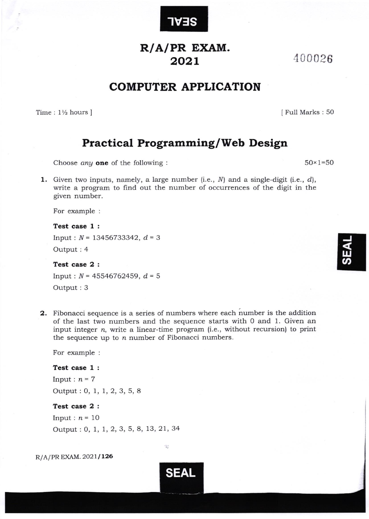

## R/A/PR EXAM. 2o2L

400026

I Full Marks : 50

 $50 \times 1 = 50$ 

# COMPUTER APPLICATION

Time :  $1\frac{1}{2}$  hours ]

### Practical Programming/Web Design

Choose  $any$  one of the following :

**1.** Given two inputs, namely, a large number (i.e.,  $N$ ) and a single-digit (i.e.,  $d$ ), write a program to find out the number of occurrences of the digit in the given number.

For example :

Test case 1 :

Input:  $N = 13456733342$ ,  $d = 3$ Output : 4

Test case 2 :

Input:  $N = 45546762459$ ,  $d = 5$ Output : 3

2. Fibonacci sequence is a series of numbers where each number is the addition of the last two numbers and the sequence starts with 0 and 1. Given an input integer  $n$ , write a linear-time program (i.e., without recursion) to print the sequence up to  $n$  number of Fibonacci numbers.

SEAL

窝

For example :

#### Test case 1 :

Input:  $n=7$ Output : O, 1, 1, 2, 3, 5, <sup>A</sup>

### Test case 2 :

Input:  $n = 10$ Output : 0, 1, 1, 2, 3, 5, 8, 13, 21, 34

 $R/A/PR$  EXAM. 2021/126

J w<br>က